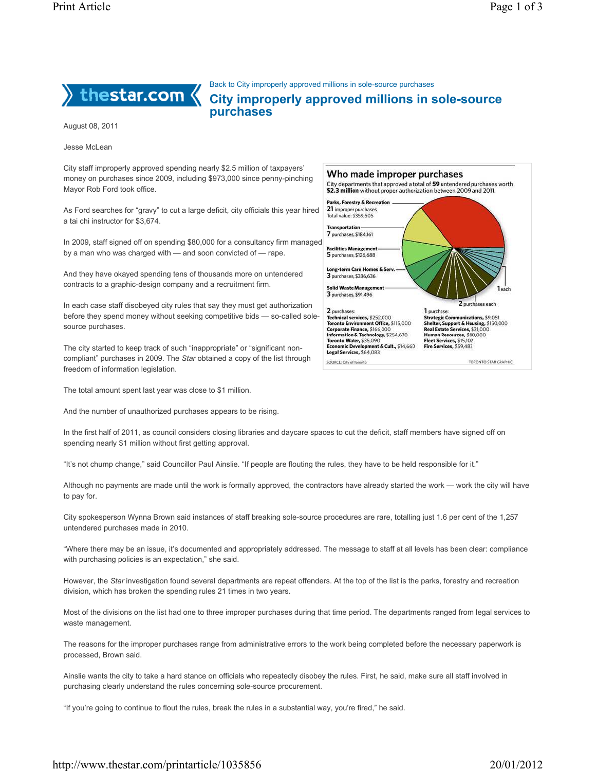

Back to City improperly approved millions in sole-source purchases

City improperly approved millions in sole-source purchases

> Parks, Forestry & Recreat Parks, Forestry & Recro<br>21 improper purchases<br>Total value: \$359,505 **Transportation**

Long-term Care Homes & Serv<br>3 purchases, \$336,636 **Solid Waste Manager** 3 purchases, \$91,496

Who made improper purchases

City departments that approved a total of 59 untendered purchases worth \$2.3 million without proper authorization between 2009 and 2011.

2 purchases each

August 08, 2011

Jesse McLean

City staff improperly approved spending nearly \$2.5 million of taxpayers' money on purchases since 2009, including \$973,000 since penny-pinching Mayor Rob Ford took office.

As Ford searches for "gravy" to cut a large deficit, city officials this year hired a tai chi instructor for \$3,674.

7 purchases, \$184,161 In 2009, staff signed off on spending \$80,000 for a consultancy firm managed **Facilities Manag** by a man who was charged with — and soon convicted of — rape. 5 purchases, \$126,688

And they have okayed spending tens of thousands more on untendered contracts to a graphic-design company and a recruitment firm.

In each case staff disobeyed city rules that say they must get authorization before they spend money without seeking competitive bids — so-called solesource purchases.

The city started to keep track of such "inappropriate" or "significant noncompliant" purchases in 2009. The Star obtained a copy of the list through freedom of information legislation.

The total amount spent last year was close to \$1 million.

And the number of unauthorized purchases appears to be rising.



In the first half of 2011, as council considers closing libraries and daycare spaces to cut the deficit, staff members have signed off on spending nearly \$1 million without first getting approval.

"It's not chump change," said Councillor Paul Ainslie. "If people are flouting the rules, they have to be held responsible for it."

Although no payments are made until the work is formally approved, the contractors have already started the work — work the city will have to pay for.

City spokesperson Wynna Brown said instances of staff breaking sole-source procedures are rare, totalling just 1.6 per cent of the 1,257 untendered purchases made in 2010.

"Where there may be an issue, it's documented and appropriately addressed. The message to staff at all levels has been clear: compliance with purchasing policies is an expectation," she said.

However, the Star investigation found several departments are repeat offenders. At the top of the list is the parks, forestry and recreation division, which has broken the spending rules 21 times in two years.

Most of the divisions on the list had one to three improper purchases during that time period. The departments ranged from legal services to waste management.

The reasons for the improper purchases range from administrative errors to the work being completed before the necessary paperwork is processed, Brown said.

Ainslie wants the city to take a hard stance on officials who repeatedly disobey the rules. First, he said, make sure all staff involved in purchasing clearly understand the rules concerning sole-source procurement.

"If you're going to continue to flout the rules, break the rules in a substantial way, you're fired," he said.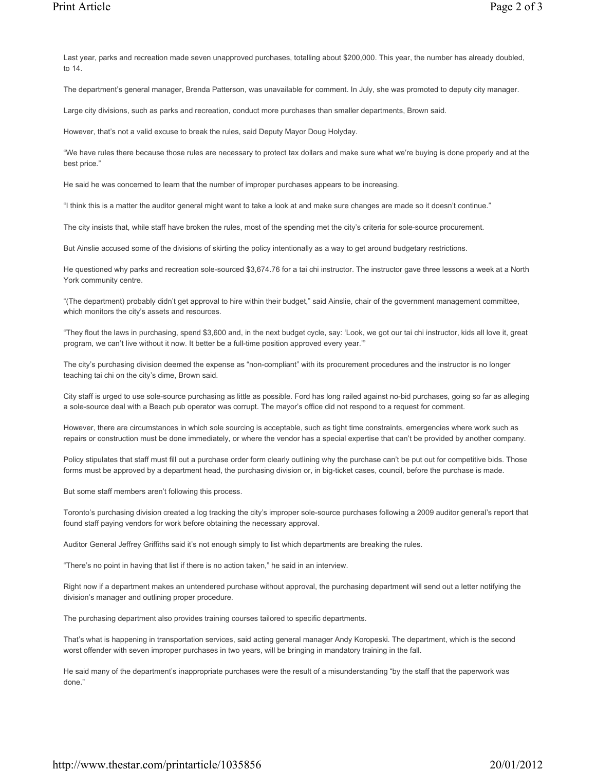Last year, parks and recreation made seven unapproved purchases, totalling about \$200,000. This year, the number has already doubled, to 14.

The department's general manager, Brenda Patterson, was unavailable for comment. In July, she was promoted to deputy city manager.

Large city divisions, such as parks and recreation, conduct more purchases than smaller departments, Brown said.

However, that's not a valid excuse to break the rules, said Deputy Mayor Doug Holyday.

"We have rules there because those rules are necessary to protect tax dollars and make sure what we're buying is done properly and at the best price."

He said he was concerned to learn that the number of improper purchases appears to be increasing.

"I think this is a matter the auditor general might want to take a look at and make sure changes are made so it doesn't continue."

The city insists that, while staff have broken the rules, most of the spending met the city's criteria for sole-source procurement.

But Ainslie accused some of the divisions of skirting the policy intentionally as a way to get around budgetary restrictions.

He questioned why parks and recreation sole-sourced \$3,674.76 for a tai chi instructor. The instructor gave three lessons a week at a North York community centre.

"(The department) probably didn't get approval to hire within their budget," said Ainslie, chair of the government management committee, which monitors the city's assets and resources.

"They flout the laws in purchasing, spend \$3,600 and, in the next budget cycle, say: 'Look, we got our tai chi instructor, kids all love it, great program, we can't live without it now. It better be a full-time position approved every year.'"

The city's purchasing division deemed the expense as "non-compliant" with its procurement procedures and the instructor is no longer teaching tai chi on the city's dime, Brown said.

City staff is urged to use sole-source purchasing as little as possible. Ford has long railed against no-bid purchases, going so far as alleging a sole-source deal with a Beach pub operator was corrupt. The mayor's office did not respond to a request for comment.

However, there are circumstances in which sole sourcing is acceptable, such as tight time constraints, emergencies where work such as repairs or construction must be done immediately, or where the vendor has a special expertise that can't be provided by another company.

Policy stipulates that staff must fill out a purchase order form clearly outlining why the purchase can't be put out for competitive bids. Those forms must be approved by a department head, the purchasing division or, in big-ticket cases, council, before the purchase is made.

But some staff members aren't following this process.

Toronto's purchasing division created a log tracking the city's improper sole-source purchases following a 2009 auditor general's report that found staff paying vendors for work before obtaining the necessary approval.

Auditor General Jeffrey Griffiths said it's not enough simply to list which departments are breaking the rules.

"There's no point in having that list if there is no action taken," he said in an interview.

Right now if a department makes an untendered purchase without approval, the purchasing department will send out a letter notifying the division's manager and outlining proper procedure.

The purchasing department also provides training courses tailored to specific departments.

That's what is happening in transportation services, said acting general manager Andy Koropeski. The department, which is the second worst offender with seven improper purchases in two years, will be bringing in mandatory training in the fall.

He said many of the department's inappropriate purchases were the result of a misunderstanding "by the staff that the paperwork was done."